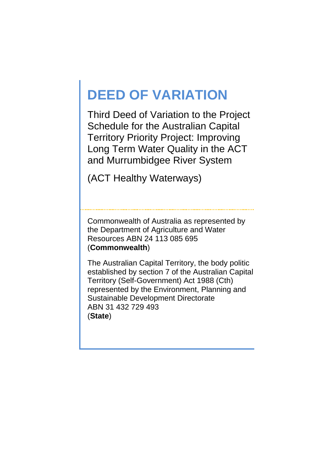# **DEED OF VARIATION**

Third Deed of Variation to the Project Schedule for the Australian Capital Territory Priority Project: Improving Long Term Water Quality in the ACT and Murrumbidgee River System

(ACT Healthy Waterways)

Commonwealth of Australia as represented by the Department of Agriculture and Water Resources ABN 24 113 085 695 (**Commonwealth**)

The Australian Capital Territory, the body politic established by section 7 of the Australian Capital Territory (Self-Government) Act 1988 (Cth) represented by the Environment, Planning and Sustainable Development Directorate ABN [31 432 729 493](http://abr.business.gov.au/SearchByAbn.aspx?abn=66893463785) (**State**)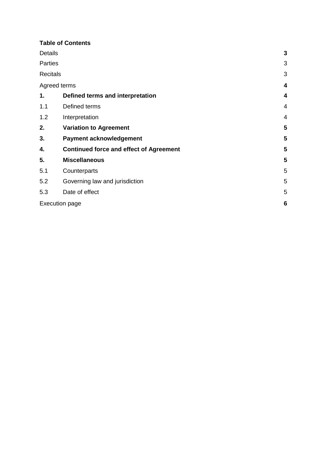#### **Table of Contents**

| <b>Details</b>  |                                                | 3              |
|-----------------|------------------------------------------------|----------------|
| Parties         |                                                | 3              |
| <b>Recitals</b> |                                                | 3              |
|                 | Agreed terms                                   | 4              |
| 1.              | Defined terms and interpretation               | 4              |
| 1.1             | Defined terms                                  | 4              |
| 1.2             | Interpretation                                 | $\overline{4}$ |
| 2.              | <b>Variation to Agreement</b>                  | 5              |
| 3.              | <b>Payment acknowledgement</b>                 | 5              |
| 4.              | <b>Continued force and effect of Agreement</b> | 5              |
| 5.              | <b>Miscellaneous</b>                           | 5              |
| 5.1             | Counterparts                                   | 5              |
| 5.2             | Governing law and jurisdiction                 | 5              |
| 5.3             | Date of effect                                 | 5              |
|                 | <b>Execution page</b>                          | 6              |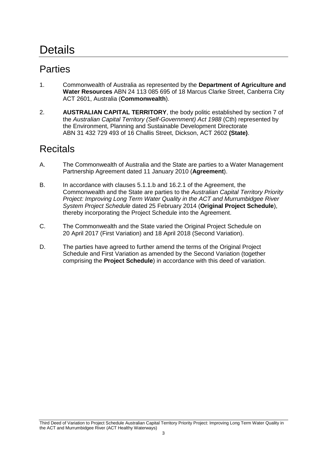## **Details**

## **Parties**

- 1. Commonwealth of Australia as represented by the **Department of Agriculture and Water Resources** ABN 24 113 085 695 of 18 Marcus Clarke Street, Canberra City ACT 2601, Australia (**Commonwealth**).
- 2. **AUSTRALIAN CAPITAL TERRITORY**, the body politic established by section 7 of the *Australian Capital Territory (Self-Government) Act 1988* (Cth) represented by the Environment, Planning and Sustainable Development Directorate ABN [31 432 729 493](http://abr.business.gov.au/SearchByAbn.aspx?abn=66893463785) of 16 Challis Street, Dickson, ACT 2602 **(State)**.

## **Recitals**

- A. The Commonwealth of Australia and the State are parties to a Water Management Partnership Agreement dated 11 January 2010 (**Agreement**).
- B. In accordance with clauses 5.1.1.b and 16.2.1 of the Agreement, the Commonwealth and the State are parties to the *Australian Capital Territory Priority Project: Improving Long Term Water Quality in the ACT and Murrumbidgee River System Project Schedule* dated 25 February 2014 (**Original Project Schedule**), thereby incorporating the Project Schedule into the Agreement.
- C. The Commonwealth and the State varied the Original Project Schedule on 20 April 2017 (First Variation) and 18 April 2018 (Second Variation).
- D. The parties have agreed to further amend the terms of the Original Project Schedule and First Variation as amended by the Second Variation (together comprising the **Project Schedule**) in accordance with this deed of variation.

Third Deed of Variation to Project Schedule Australian Capital Territory Priority Project: Improving Long Term Water Quality in the ACT and Murrumbidgee River (ACT Healthy Waterways)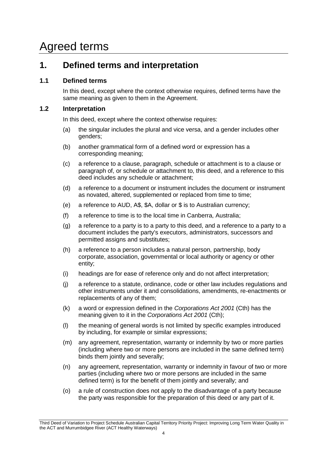## Agreed terms

### **1. Defined terms and interpretation**

#### **1.1 Defined terms**

In this deed, except where the context otherwise requires, defined terms have the same meaning as given to them in the Agreement.

#### **1.2 Interpretation**

In this deed, except where the context otherwise requires:

- (a) the singular includes the plural and vice versa, and a gender includes other genders;
- (b) another grammatical form of a defined word or expression has a corresponding meaning;
- (c) a reference to a clause, paragraph, schedule or attachment is to a clause or paragraph of, or schedule or attachment to, this deed, and a reference to this deed includes any schedule or attachment;
- (d) a reference to a document or instrument includes the document or instrument as novated, altered, supplemented or replaced from time to time;
- (e) a reference to AUD, A\$, \$A, dollar or \$ is to Australian currency;
- (f) a reference to time is to the local time in Canberra, Australia;
- (g) a reference to a party is to a party to this deed, and a reference to a party to a document includes the party's executors, administrators, successors and permitted assigns and substitutes;
- (h) a reference to a person includes a natural person, partnership, body corporate, association, governmental or local authority or agency or other entity;
- (i) headings are for ease of reference only and do not affect interpretation;
- (j) a reference to a statute, ordinance, code or other law includes regulations and other instruments under it and consolidations, amendments, re-enactments or replacements of any of them;
- (k) a word or expression defined in the *Corporations Act 2001* (Cth) has the meaning given to it in the *Corporations Act 2001* (Cth);
- (l) the meaning of general words is not limited by specific examples introduced by including, for example or similar expressions;
- (m) any agreement, representation, warranty or indemnity by two or more parties (including where two or more persons are included in the same defined term) binds them jointly and severally;
- (n) any agreement, representation, warranty or indemnity in favour of two or more parties (including where two or more persons are included in the same defined term) is for the benefit of them jointly and severally; and
- (o) a rule of construction does not apply to the disadvantage of a party because the party was responsible for the preparation of this deed or any part of it.

Third Deed of Variation to Project Schedule Australian Capital Territory Priority Project: Improving Long Term Water Quality in the ACT and Murrumbidgee River (ACT Healthy Waterways)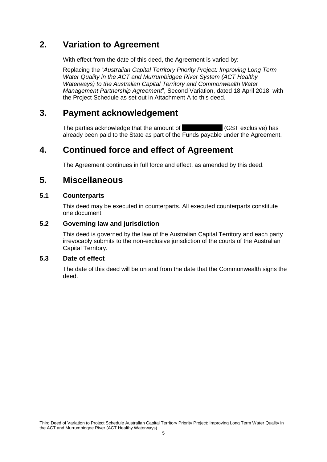### **2. Variation to Agreement**

With effect from the date of this deed, the Agreement is varied by:

Replacing the "*Australian Capital Territory Priority Project: Improving Long Term Water Quality in the ACT and Murrumbidgee River System (ACT Healthy Waterways) to the Australian Capital Territory and Commonwealth Water Management Partnership Agreement*", Second Variation, dated 18 April 2018, with the Project Schedule as set out in Attachment A to this deed.

### **3. Payment acknowledgement**

The parties acknowledge that the amount of  $(GST$  exclusive) has already been paid to the State as part of the Funds payable under the Agreement.

### **4. Continued force and effect of Agreement**

The Agreement continues in full force and effect, as amended by this deed.

### **5. Miscellaneous**

#### **5.1 Counterparts**

This deed may be executed in counterparts. All executed counterparts constitute one document.

#### **5.2 Governing law and jurisdiction**

This deed is governed by the law of the Australian Capital Territory and each party irrevocably submits to the non-exclusive jurisdiction of the courts of the Australian Capital Territory.

#### **5.3 Date of effect**

The date of this deed will be on and from the date that the Commonwealth signs the deed.

Third Deed of Variation to Project Schedule Australian Capital Territory Priority Project: Improving Long Term Water Quality in the ACT and Murrumbidgee River (ACT Healthy Waterways)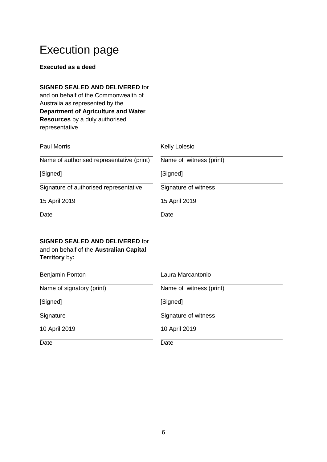## Execution page

#### **Executed as a deed**

#### **SIGNED SEALED AND DELIVERED** for and on behalf of the Commonwealth of Australia as represented by the **Department of Agriculture and Water Resources** by a duly authorised representative

| <b>Paul Morris</b>                        | <b>Kelly Lolesio</b>    |
|-------------------------------------------|-------------------------|
| Name of authorised representative (print) | Name of witness (print) |
| [Signed]                                  | [Signed]                |
| Signature of authorised representative    | Signature of witness    |
| 15 April 2019                             | 15 April 2019           |
| Date                                      | Date                    |

#### **SIGNED SEALED AND DELIVERED** for and on behalf of the **Australian Capital**

**Territory** by**:** 

| <b>Benjamin Ponton</b>    | Laura Marcantonio       |
|---------------------------|-------------------------|
| Name of signatory (print) | Name of witness (print) |
| [Signed]                  | [Signed]                |
| Signature                 | Signature of witness    |
| 10 April 2019             | 10 April 2019           |
| Date                      | Date                    |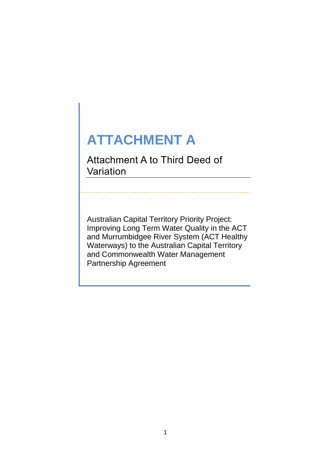# **ATTACHMENT A**

Attachment A to Third Deed of Variation

Australian Capital Territory Priority Project: Improving Long Term Water Quality in the ACT and Murrumbidgee River System (ACT Healthy Waterways) to the Australian Capital Territory and Commonwealth Water Management Partnership Agreement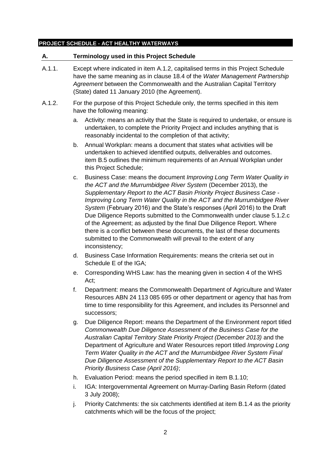#### **PROJECT SCHEDULE - ACT HEALTHY WATERWAYS**

#### **A. Terminology used in this Project Schedule**

- A.1.1. Except where indicated in item A.1.2, capitalised terms in this Project Schedule have the same meaning as in clause 18.4 of the *Water Management Partnership Agreement* between the Commonwealth and the Australian Capital Territory (State) dated 11 January 2010 (the Agreement).
- A.1.2. For the purpose of this Project Schedule only, the terms specified in this item have the following meaning:
	- a. Activity: means an activity that the State is required to undertake, or ensure is undertaken, to complete the Priority Project and includes anything that is reasonably incidental to the completion of that activity;
	- b. Annual Workplan: means a document that states what activities will be undertaken to achieved identified outputs, deliverables and outcomes. item B.5 outlines the minimum requirements of an Annual Workplan under this Project Schedule;
	- c. Business Case: means the document *Improving Long Term Water Quality in the ACT and the Murrumbidgee River System* (December 2013), the *Supplementary Report to the ACT Basin Priority Project Business Case - Improving Long Term Water Quality in the ACT and the Murrumbidgee River System* (February 2016) and the State's responses (April 2016) to the Draft Due Diligence Reports submitted to the Commonwealth under clause 5.1.2.c of the Agreement; as adjusted by the final Due Diligence Report. Where there is a conflict between these documents, the last of these documents submitted to the Commonwealth will prevail to the extent of any inconsistency;
	- d. Business Case Information Requirements: means the criteria set out in Schedule E of the IGA;
	- e. Corresponding WHS Law: has the meaning given in section 4 of the WHS Act;
	- f. Department: means the Commonwealth Department of Agriculture and Water Resources ABN 24 113 085 695 or other department or agency that has from time to time responsibility for this Agreement, and includes its Personnel and successors;
	- g. Due Diligence Report: means the Department of the Environment report titled *Commonwealth Due Diligence Assessment of the Business Case for the Australian Capital Territory State Priority Project (December 2013)* and the Department of Agriculture and Water Resources report titled *Improving Long Term Water Quality in the ACT and the Murrumbidgee River System Final Due Diligence Assessment of the Supplementary Report to the ACT Basin Priority Business Case (April 2016)*;
	- h. Evaluation Period: means the period specified in item B.1.10;
	- i. IGA: Intergovernmental Agreement on Murray-Darling Basin Reform (dated 3 July 2008);
	- j. Priority Catchments: the six catchments identified at item B.1.4 as the priority catchments which will be the focus of the project;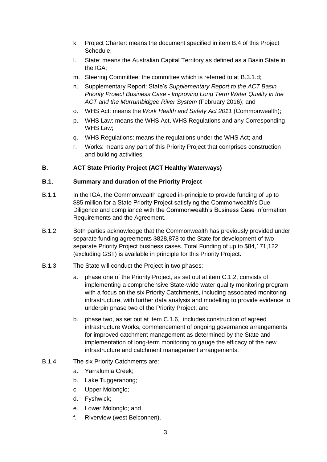- k. Project Charter: means the document specified in item B.4 of this Project Schedule;
- l. State: means the Australian Capital Territory as defined as a Basin State in the IGA;
- m. Steering Committee: the committee which is referred to at [B.3.1.](#page-10-0)d;
- n. Supplementary Report: State's *Supplementary Report to the ACT Basin Priority Project Business Case - Improving Long Term Water Quality in the ACT and the Murrumbidgee River System* (February 2016); and
- o. WHS Act: means the *Work Health and Safety Act 2011* (Commonwealth);
- p. WHS Law: means the WHS Act, WHS Regulations and any Corresponding WHS Law;
- q. WHS Regulations: means the regulations under the WHS Act; and
- r. Works: means any part of this Priority Project that comprises construction and building activities.

#### **B. ACT State Priority Project (ACT Healthy Waterways)**

#### **B.1. Summary and duration of the Priority Project**

- B.1.1. In the IGA, the Commonwealth agreed in-principle to provide funding of up to \$85 million for a State Priority Project satisfying the Commonwealth's Due Diligence and compliance with the Commonwealth's Business Case Information Requirements and the Agreement.
- B.1.2. Both parties acknowledge that the Commonwealth has previously provided under separate funding agreements \$828,878 to the State for development of two separate Priority Project business cases. Total Funding of up to \$84,171,122 (excluding GST) is available in principle for this Priority Project.
- B.1.3. The State will conduct the Project in two phases:
	- a. phase one of the Priority Project, as set out at item [C.1.2,](#page-13-0) consists of implementing a comprehensive State-wide water quality monitoring program with a focus on the six Priority Catchments, including associated monitoring infrastructure, with further data analysis and modelling to provide evidence to underpin phase two of the Priority Project; and
	- b. phase two, as set out at item [C.1.6,](#page-16-0) includes construction of agreed infrastructure Works, commencement of ongoing governance arrangements for improved catchment management as determined by the State and implementation of long-term monitoring to gauge the efficacy of the new infrastructure and catchment management arrangements.
- B.1.4. The six Priority Catchments are:
	- a. Yarralumla Creek;
	- b. Lake Tuggeranong;
	- c. Upper Molonglo;
	- d. Fyshwick;
	- e. Lower Molonglo; and
	- f. Riverview (west Belconnen).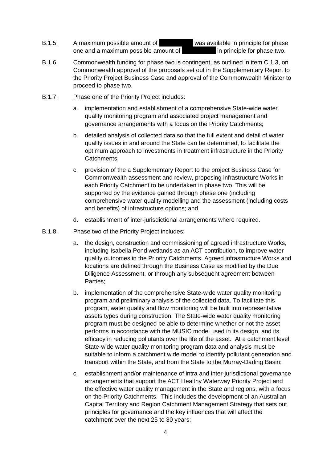B.1.5. A maximum possible amount of **Example 20 was available in principle for phase** one and a maximum possible amount of **\$4**  $\mu$  **in principle for phase two.** 

- B.1.6. Commonwealth funding for phase two is contingent, as outlined in item C.1.3, on Commonwealth approval of the proposals set out in the Supplementary Report to the Priority Project Business Case and approval of the Commonwealth Minister to proceed to phase two.
- B.1.7. Phase one of the Priority Project includes:
	- a. implementation and establishment of a comprehensive State-wide water quality monitoring program and associated project management and governance arrangements with a focus on the Priority Catchments;
	- b. detailed analysis of collected data so that the full extent and detail of water quality issues in and around the State can be determined, to facilitate the optimum approach to investments in treatment infrastructure in the Priority Catchments;
	- c. provision of the a Supplementary Report to the project Business Case for Commonwealth assessment and review, proposing infrastructure Works in each Priority Catchment to be undertaken in phase two. This will be supported by the evidence gained through phase one (including comprehensive water quality modelling and the assessment (including costs and benefits) of infrastructure options; and
	- d. establishment of inter-jurisdictional arrangements where required.
- B.1.8. Phase two of the Priority Project includes:
	- a. the design, construction and commissioning of agreed infrastructure Works, including Isabella Pond wetlands as an ACT contribution, to improve water quality outcomes in the Priority Catchments. Agreed infrastructure Works and locations are defined through the Business Case as modified by the Due Diligence Assessment, or through any subsequent agreement between Parties;
	- b. implementation of the comprehensive State-wide water quality monitoring program and preliminary analysis of the collected data. To facilitate this program, water quality and flow monitoring will be built into representative assets types during construction. The State-wide water quality monitoring program must be designed be able to determine whether or not the asset performs in accordance with the MUSIC model used in its design, and its efficacy in reducing pollutants over the life of the asset. At a catchment level State-wide water quality monitoring program data and analysis must be suitable to inform a catchment wide model to identify pollutant generation and transport within the State, and from the State to the Murray-Darling Basin;
	- c. establishment and/or maintenance of intra and inter-jurisdictional governance arrangements that support the ACT Healthy Waterway Priority Project and the effective water quality management in the State and regions, with a focus on the Priority Catchments. This includes the development of an Australian Capital Territory and Region Catchment Management Strategy that sets out principles for governance and the key influences that will affect the catchment over the next 25 to 30 years;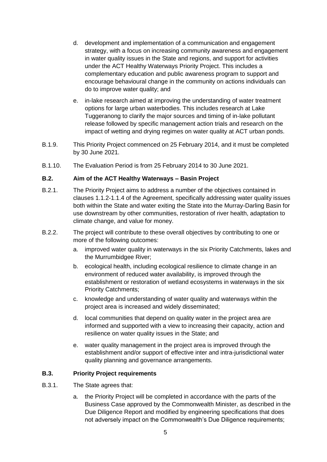- d. development and implementation of a communication and engagement strategy, with a focus on increasing community awareness and engagement in water quality issues in the State and regions, and support for activities under the ACT Healthy Waterways Priority Project. This includes a complementary education and public awareness program to support and encourage behavioural change in the community on actions individuals can do to improve water quality; and
- e. in-lake research aimed at improving the understanding of water treatment options for large urban waterbodies. This includes research at Lake Tuggeranong to clarify the major sources and timing of in-lake pollutant release followed by specific management action trials and research on the impact of wetting and drying regimes on water quality at ACT urban ponds.
- B.1.9. This Priority Project commenced on 25 February 2014, and it must be completed by 30 June 2021.
- B.1.10. The Evaluation Period is from 25 February 2014 to 30 June 2021.

#### **B.2. Aim of the ACT Healthy Waterways – Basin Project**

- B.2.1. The Priority Project aims to address a number of the objectives contained in clauses 1.1.2-1.1.4 of the Agreement, specifically addressing water quality issues both within the State and water exiting the State into the Murray-Darling Basin for use downstream by other communities, restoration of river health, adaptation to climate change, and value for money.
- B.2.2. The project will contribute to these overall objectives by contributing to one or more of the following outcomes:
	- a. improved water quality in waterways in the six Priority Catchments, lakes and the Murrumbidgee River;
	- b. ecological health, including ecological resilience to climate change in an environment of reduced water availability, is improved through the establishment or restoration of wetland ecosystems in waterways in the six Priority Catchments;
	- c. knowledge and understanding of water quality and waterways within the project area is increased and widely disseminated;
	- d. local communities that depend on quality water in the project area are informed and supported with a view to increasing their capacity, action and resilience on water quality issues in the State; and
	- e. water quality management in the project area is improved through the establishment and/or support of effective inter and intra-jurisdictional water quality planning and governance arrangements.

#### **B.3. Priority Project requirements**

- <span id="page-10-0"></span>B.3.1. The State agrees that:
	- a. the Priority Project will be completed in accordance with the parts of the Business Case approved by the Commonwealth Minister, as described in the Due Diligence Report and modified by engineering specifications that does not adversely impact on the Commonwealth's Due Diligence requirements;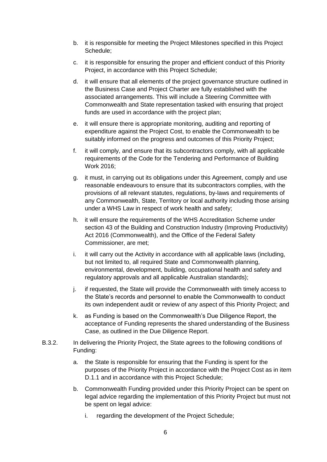- b. it is responsible for meeting the Project Milestones specified in this Project Schedule;
- c. it is responsible for ensuring the proper and efficient conduct of this Priority Project, in accordance with this Project Schedule;
- d. it will ensure that all elements of the project governance structure outlined in the Business Case and Project Charter are fully established with the associated arrangements. This will include a Steering Committee with Commonwealth and State representation tasked with ensuring that project funds are used in accordance with the project plan;
- e. it will ensure there is appropriate monitoring, auditing and reporting of expenditure against the Project Cost, to enable the Commonwealth to be suitably informed on the progress and outcomes of this Priority Project;
- f. it will comply, and ensure that its subcontractors comply, with all applicable requirements of the Code for the Tendering and Performance of Building Work 2016;
- g. it must, in carrying out its obligations under this Agreement, comply and use reasonable endeavours to ensure that its subcontractors complies, with the provisions of all relevant statutes, regulations, by-laws and requirements of any Commonwealth, State, Territory or local authority including those arising under a WHS Law in respect of work health and safety;
- h. it will ensure the requirements of the WHS Accreditation Scheme under section 43 of the Building and Construction Industry (Improving Productivity) Act 2016 (Commonwealth), and the Office of the Federal Safety Commissioner, are met;
- i. it will carry out the Activity in accordance with all applicable laws (including, but not limited to, all required State and Commonwealth planning, environmental, development, building, occupational health and safety and regulatory approvals and all applicable Australian standards);
- j. if requested, the State will provide the Commonwealth with timely access to the State's records and personnel to enable the Commonwealth to conduct its own independent audit or review of any aspect of this Priority Project; and
- k. as Funding is based on the Commonwealth's Due Diligence Report, the acceptance of Funding represents the shared understanding of the Business Case, as outlined in the Due Diligence Report.
- B.3.2. In delivering the Priority Project, the State agrees to the following conditions of Funding:
	- a. the State is responsible for ensuring that the Funding is spent for the purposes of the Priority Project in accordance with the Project Cost as in item D.1.1 and in accordance with this Project Schedule;
	- b. Commonwealth Funding provided under this Priority Project can be spent on legal advice regarding the implementation of this Priority Project but must not be spent on legal advice:
		- i. regarding the development of the Project Schedule;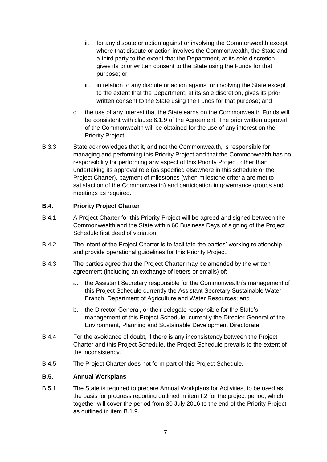- ii. for any dispute or action against or involving the Commonwealth except where that dispute or action involves the Commonwealth, the State and a third party to the extent that the Department, at its sole discretion, gives its prior written consent to the State using the Funds for that purpose; or
- iii. in relation to any dispute or action against or involving the State except to the extent that the Department, at its sole discretion, gives its prior written consent to the State using the Funds for that purpose; and
- c. the use of any interest that the State earns on the Commonwealth Funds will be consistent with clause 6.1.9 of the Agreement. The prior written approval of the Commonwealth will be obtained for the use of any interest on the Priority Project.
- B.3.3. State acknowledges that it, and not the Commonwealth, is responsible for managing and performing this Priority Project and that the Commonwealth has no responsibility for performing any aspect of this Priority Project, other than undertaking its approval role (as specified elsewhere in this schedule or the Project Charter), payment of milestones (when milestone criteria are met to satisfaction of the Commonwealth) and participation in governance groups and meetings as required.

#### **B.4. Priority Project Charter**

- B.4.1. A Project Charter for this Priority Project will be agreed and signed between the Commonwealth and the State within 60 Business Days of signing of the Project Schedule first deed of variation.
- B.4.2. The intent of the Project Charter is to facilitate the parties' working relationship and provide operational guidelines for this Priority Project.
- B.4.3. The parties agree that the Project Charter may be amended by the written agreement (including an exchange of letters or emails) of:
	- a. the Assistant Secretary responsible for the Commonwealth's management of this Project Schedule currently the Assistant Secretary Sustainable Water Branch, Department of Agriculture and Water Resources; and
	- b. the Director-General, or their delegate responsible for the State's management of this Project Schedule, currently the Director-General of the Environment, Planning and Sustainable Development Directorate.
- B.4.4. For the avoidance of doubt, if there is any inconsistency between the Project Charter and this Project Schedule, the Project Schedule prevails to the extent of the inconsistency.
- B.4.5. The Project Charter does not form part of this Project Schedule.

#### **B.5. Annual Workplans**

B.5.1. The State is required to prepare Annual Workplans for Activities, to be used as the basis for progress reporting outlined in item I.2 for the project period, which together will cover the period from 30 July 2016 to the end of the Priority Project as outlined in item B.1.9.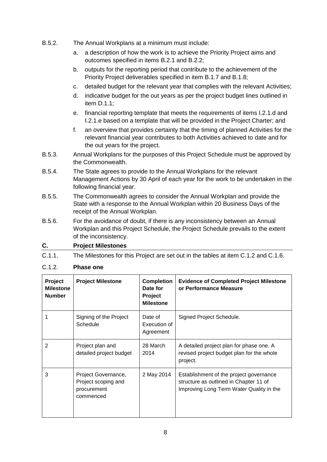- B.5.2. The Annual Workplans at a minimum must include:
	- a. a description of how the work is to achieve the Priority Project aims and outcomes specified in items B.2.1 and B.2.2;
	- b. outputs for the reporting period that contribute to the achievement of the Priority Project deliverables specified in item B.1.7 and B.1.8;
	- c. detailed budget for the relevant year that complies with the relevant Activities;
	- d. indicative budget for the out years as per the project budget lines outlined in item D.1.1;
	- e. financial reporting template that meets the requirements of items I.2.1.d and I.2.1.e based on a template that will be provided in the Project Charter; and
	- f. an overview that provides certainty that the timing of planned Activities for the relevant financial year contributes to both Activities achieved to date and for the out years for the project.
- B.5.3. Annual Workplans for the purposes of this Project Schedule must be approved by the Commonwealth.
- B.5.4. The State agrees to provide to the Annual Workplans for the relevant Management Actions by 30 April of each year for the work to be undertaken in the following financial year.
- B.5.5. The Commonwealth agrees to consider the Annual Workplan and provide the State with a response to the Annual Workplan within 20 Business Days of the receipt of the Annual Workplan.
- B.5.6. For the avoidance of doubt, if there is any inconsistency between an Annual Workplan and this Project Schedule, the Project Schedule prevails to the extent of the inconsistency.

#### **C. Project Milestones**

C.1.1. The Milestones for this Project are set out in the tables at item C.1.2 and C.1.6.

#### <span id="page-13-0"></span>C.1.2. **Phase one**

| Project<br><b>Milestone</b><br><b>Number</b> | <b>Project Milestone</b>                                               | <b>Completion</b><br>Date for<br><b>Project</b><br><b>Milestone</b> | <b>Evidence of Completed Project Milestone</b><br>or Performance Measure                                                      |
|----------------------------------------------|------------------------------------------------------------------------|---------------------------------------------------------------------|-------------------------------------------------------------------------------------------------------------------------------|
|                                              | Signing of the Project<br>Schedule                                     | Date of<br>Execution of<br>Agreement                                | Signed Project Schedule.                                                                                                      |
| $\overline{2}$                               | Project plan and<br>detailed project budget                            | 28 March<br>2014                                                    | A detailed project plan for phase one. A<br>revised project budget plan for the whole<br>project.                             |
| 3                                            | Project Governance,<br>Project scoping and<br>procurement<br>commenced | 2 May 2014                                                          | Establishment of the project governance<br>structure as outlined in Chapter 11 of<br>Improving Long Term Water Quality in the |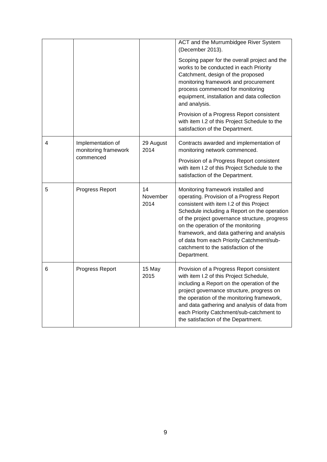|                |                                                        |                        | ACT and the Murrumbidgee River System<br>(December 2013).<br>Scoping paper for the overall project and the<br>works to be conducted in each Priority<br>Catchment, design of the proposed<br>monitoring framework and procurement<br>process commenced for monitoring<br>equipment, installation and data collection<br>and analysis.<br>Provision of a Progress Report consistent<br>with item I.2 of this Project Schedule to the<br>satisfaction of the Department. |
|----------------|--------------------------------------------------------|------------------------|------------------------------------------------------------------------------------------------------------------------------------------------------------------------------------------------------------------------------------------------------------------------------------------------------------------------------------------------------------------------------------------------------------------------------------------------------------------------|
| $\overline{4}$ | Implementation of<br>monitoring framework<br>commenced | 29 August<br>2014      | Contracts awarded and implementation of<br>monitoring network commenced.<br>Provision of a Progress Report consistent<br>with item I.2 of this Project Schedule to the<br>satisfaction of the Department.                                                                                                                                                                                                                                                              |
| 5              | Progress Report                                        | 14<br>November<br>2014 | Monitoring framework installed and<br>operating. Provision of a Progress Report<br>consistent with item I.2 of this Project<br>Schedule including a Report on the operation<br>of the project governance structure, progress<br>on the operation of the monitoring<br>framework, and data gathering and analysis<br>of data from each Priority Catchment/sub-<br>catchment to the satisfaction of the<br>Department.                                                   |
| 6              | Progress Report                                        | 15 May<br>2015         | Provision of a Progress Report consistent<br>with item I.2 of this Project Schedule,<br>including a Report on the operation of the<br>project governance structure, progress on<br>the operation of the monitoring framework,<br>and data gathering and analysis of data from<br>each Priority Catchment/sub-catchment to<br>the satisfaction of the Department.                                                                                                       |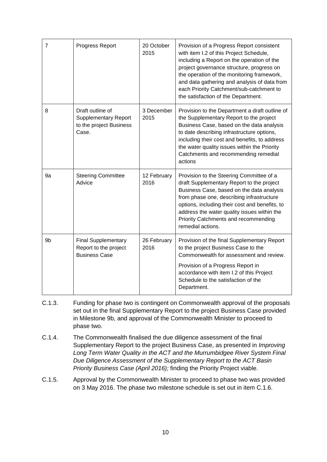| 7  | <b>Progress Report</b>                                                              | 20 October<br>2015  | Provision of a Progress Report consistent<br>with item I.2 of this Project Schedule,<br>including a Report on the operation of the<br>project governance structure, progress on<br>the operation of the monitoring framework,<br>and data gathering and analysis of data from<br>each Priority Catchment/sub-catchment to<br>the satisfaction of the Department. |
|----|-------------------------------------------------------------------------------------|---------------------|------------------------------------------------------------------------------------------------------------------------------------------------------------------------------------------------------------------------------------------------------------------------------------------------------------------------------------------------------------------|
| 8  | Draft outline of<br><b>Supplementary Report</b><br>to the project Business<br>Case. | 3 December<br>2015  | Provision to the Department a draft outline of<br>the Supplementary Report to the project<br>Business Case, based on the data analysis<br>to date describing infrastructure options,<br>including their cost and benefits, to address<br>the water quality issues within the Priority<br>Catchments and recommending remedial<br>actions                         |
| 9a | <b>Steering Committee</b><br>Advice                                                 | 12 February<br>2016 | Provision to the Steering Committee of a<br>draft Supplementary Report to the project<br>Business Case, based on the data analysis<br>from phase one, describing infrastructure<br>options, including their cost and benefits, to<br>address the water quality issues within the<br>Priority Catchments and recommending<br>remedial actions.                    |
| 9b | <b>Final Supplementary</b><br>Report to the project<br><b>Business Case</b>         | 26 February<br>2016 | Provision of the final Supplementary Report<br>to the project Business Case to the<br>Commonwealth for assessment and review.<br>Provision of a Progress Report in<br>accordance with item I.2 of this Project<br>Schedule to the satisfaction of the<br>Department.                                                                                             |

- C.1.3. Funding for phase two is contingent on Commonwealth approval of the proposals set out in the final Supplementary Report to the project Business Case provided in Milestone 9b, and approval of the Commonwealth Minister to proceed to phase two.
- C.1.4. The Commonwealth finalised the due diligence assessment of the final Supplementary Report to the project Business Case, as presented in *Improving Long Term Water Quality in the ACT and the Murrumbidgee River System Final Due Diligence Assessment of the Supplementary Report to the ACT Basin Priority Business Case (April 2016);* finding the Priority Project viable.
- C.1.5. Approval by the Commonwealth Minister to proceed to phase two was provided on 3 May 2016. The phase two milestone schedule is set out in item C.1.6.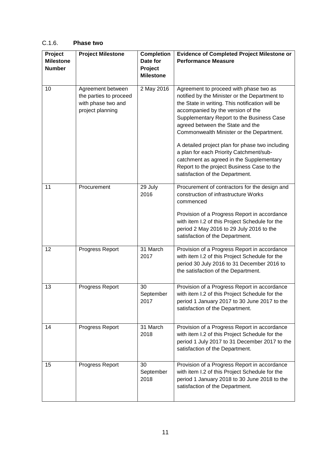#### <span id="page-16-0"></span>C.1.6. **Phase two**

| Project<br><b>Milestone</b> | <b>Project Milestone</b>                                                              | <b>Completion</b><br>Date for | <b>Evidence of Completed Project Milestone or</b><br><b>Performance Measure</b>                                                                                                                                                                                                                                                                                                                                                                                                                                                         |
|-----------------------------|---------------------------------------------------------------------------------------|-------------------------------|-----------------------------------------------------------------------------------------------------------------------------------------------------------------------------------------------------------------------------------------------------------------------------------------------------------------------------------------------------------------------------------------------------------------------------------------------------------------------------------------------------------------------------------------|
| <b>Number</b>               |                                                                                       | Project<br><b>Milestone</b>   |                                                                                                                                                                                                                                                                                                                                                                                                                                                                                                                                         |
| 10                          | Agreement between<br>the parties to proceed<br>with phase two and<br>project planning | 2 May 2016                    | Agreement to proceed with phase two as<br>notified by the Minister or the Department to<br>the State in writing. This notification will be<br>accompanied by the version of the<br>Supplementary Report to the Business Case<br>agreed between the State and the<br>Commonwealth Minister or the Department.<br>A detailed project plan for phase two including<br>a plan for each Priority Catchment/sub-<br>catchment as agreed in the Supplementary<br>Report to the project Business Case to the<br>satisfaction of the Department. |
| 11                          | Procurement                                                                           | 29 July<br>2016               | Procurement of contractors for the design and<br>construction of infrastructure Works<br>commenced<br>Provision of a Progress Report in accordance<br>with item I.2 of this Project Schedule for the<br>period 2 May 2016 to 29 July 2016 to the<br>satisfaction of the Department.                                                                                                                                                                                                                                                     |
| 12                          | Progress Report                                                                       | 31 March<br>2017              | Provision of a Progress Report in accordance<br>with item I.2 of this Project Schedule for the<br>period 30 July 2016 to 31 December 2016 to<br>the satisfaction of the Department.                                                                                                                                                                                                                                                                                                                                                     |
| 13                          | Progress Report                                                                       | 30<br>September<br>2017       | Provision of a Progress Report in accordance<br>with item I.2 of this Project Schedule for the<br>period 1 January 2017 to 30 June 2017 to the<br>satisfaction of the Department.                                                                                                                                                                                                                                                                                                                                                       |
| 14                          | Progress Report                                                                       | 31 March<br>2018              | Provision of a Progress Report in accordance<br>with item I.2 of this Project Schedule for the<br>period 1 July 2017 to 31 December 2017 to the<br>satisfaction of the Department.                                                                                                                                                                                                                                                                                                                                                      |
| 15                          | Progress Report                                                                       | 30<br>September<br>2018       | Provision of a Progress Report in accordance<br>with item I.2 of this Project Schedule for the<br>period 1 January 2018 to 30 June 2018 to the<br>satisfaction of the Department.                                                                                                                                                                                                                                                                                                                                                       |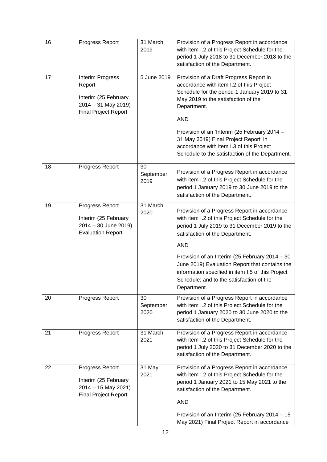| 16 | Progress Report                                                                                            | 31 March<br>2019        | Provision of a Progress Report in accordance<br>with item I.2 of this Project Schedule for the<br>period 1 July 2018 to 31 December 2018 to the<br>satisfaction of the Department.                                                                      |
|----|------------------------------------------------------------------------------------------------------------|-------------------------|---------------------------------------------------------------------------------------------------------------------------------------------------------------------------------------------------------------------------------------------------------|
| 17 | Interim Progress<br>Report<br>Interim (25 February<br>$2014 - 31$ May 2019)<br><b>Final Project Report</b> | 5 June 2019             | Provision of a Draft Progress Report in<br>accordance with item I.2 of this Project<br>Schedule for the period 1 January 2019 to 31<br>May 2019 to the satisfaction of the<br>Department.<br><b>AND</b><br>Provision of an 'Interim (25 February 2014 - |
|    |                                                                                                            |                         | 31 May 2019) Final Project Report' in<br>accordance with item I.3 of this Project<br>Schedule to the satisfaction of the Department.                                                                                                                    |
| 18 | Progress Report                                                                                            | 30<br>September<br>2019 | Provision of a Progress Report in accordance<br>with item I.2 of this Project Schedule for the<br>period 1 January 2019 to 30 June 2019 to the<br>satisfaction of the Department.                                                                       |
| 19 | Progress Report<br>Interim (25 February<br>$2014 - 30$ June 2019)<br><b>Evaluation Report</b>              | 31 March<br>2020        | Provision of a Progress Report in accordance<br>with item I.2 of this Project Schedule for the<br>period 1 July 2019 to 31 December 2019 to the<br>satisfaction of the Department.                                                                      |
|    |                                                                                                            |                         | <b>AND</b>                                                                                                                                                                                                                                              |
|    |                                                                                                            |                         | Provision of an Interim (25 February 2014 - 30<br>June 2019) Evaluation Report that contains the<br>information specified in item I.5 of this Project<br>Schedule; and to the satisfaction of the<br>Department.                                        |
| 20 | Progress Report                                                                                            | 30<br>September<br>2020 | Provision of a Progress Report in accordance<br>with item I.2 of this Project Schedule for the<br>period 1 January 2020 to 30 June 2020 to the<br>satisfaction of the Department.                                                                       |
| 21 | Progress Report                                                                                            | 31 March<br>2021        | Provision of a Progress Report in accordance<br>with item I.2 of this Project Schedule for the<br>period 1 July 2020 to 31 December 2020 to the<br>satisfaction of the Department.                                                                      |
| 22 | Progress Report<br>Interim (25 February<br>$2014 - 15$ May 2021)<br><b>Final Project Report</b>            | 31 May<br>2021          | Provision of a Progress Report in accordance<br>with item I.2 of this Project Schedule for the<br>period 1 January 2021 to 15 May 2021 to the<br>satisfaction of the Department.<br><b>AND</b>                                                          |
|    |                                                                                                            |                         | Provision of an Interim (25 February 2014 - 15<br>May 2021) Final Project Report in accordance                                                                                                                                                          |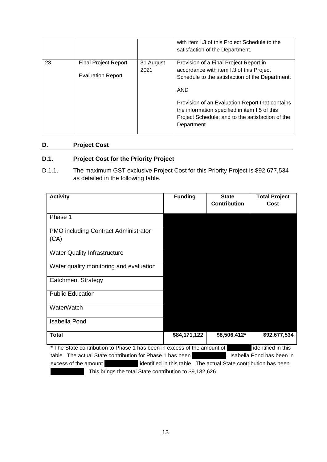|    |                                                         |                   | with item I.3 of this Project Schedule to the<br>satisfaction of the Department.                                                                                                                                                                                                                                           |
|----|---------------------------------------------------------|-------------------|----------------------------------------------------------------------------------------------------------------------------------------------------------------------------------------------------------------------------------------------------------------------------------------------------------------------------|
| 23 | <b>Final Project Report</b><br><b>Evaluation Report</b> | 31 August<br>2021 | Provision of a Final Project Report in<br>accordance with item I.3 of this Project<br>Schedule to the satisfaction of the Department.<br><b>AND</b><br>Provision of an Evaluation Report that contains<br>the information specified in item I.5 of this<br>Project Schedule; and to the satisfaction of the<br>Department. |

#### **D. Project Cost**

#### **D.1. Project Cost for the Priority Project**

D.1.1. The maximum GST exclusive Project Cost for this Priority Project is \$92,677,534 as detailed in the following table.

| <b>Activity</b>                                                         | <b>Funding</b> | <b>State</b><br><b>Contribution</b>                              | <b>Total Project</b><br>Cost |
|-------------------------------------------------------------------------|----------------|------------------------------------------------------------------|------------------------------|
|                                                                         |                |                                                                  |                              |
| Phase 1                                                                 |                |                                                                  |                              |
| <b>PMO including Contract Administrator</b>                             |                |                                                                  |                              |
| (CA)                                                                    |                |                                                                  |                              |
| <b>Water Quality Infrastructure</b>                                     |                |                                                                  |                              |
| Water quality monitoring and evaluation                                 |                |                                                                  |                              |
| <b>Catchment Strategy</b>                                               |                |                                                                  |                              |
| <b>Public Education</b>                                                 |                |                                                                  |                              |
| WaterWatch                                                              |                |                                                                  |                              |
| <b>Isabella Pond</b>                                                    |                |                                                                  |                              |
| <b>Total</b>                                                            | \$84,171,122   | \$8,506,412*                                                     | \$92,677,534                 |
| * The State contribution to Phase 1 has been in excess of the amount of |                |                                                                  | identified in this           |
| table. The actual State contribution for Phase 1 has been               |                |                                                                  | Isabella Pond has been in    |
| excess of the amount                                                    |                | identified in this table. The actual State contribution has been |                              |
| This brings the total State contribution to \$9,132,626.                |                |                                                                  |                              |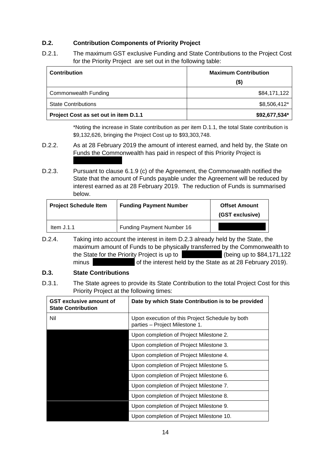#### **D.2. Contribution Components of Priority Project**

D.2.1. The maximum GST exclusive Funding and State Contributions to the Project Cost for the Priority Project are set out in the following table:

| <b>Contribution</b>                   | <b>Maximum Contribution</b> |  |
|---------------------------------------|-----------------------------|--|
|                                       | (\$)                        |  |
| Commonwealth Funding                  | \$84,171,122                |  |
| <b>State Contributions</b>            | \$8,506,412*                |  |
| Project Cost as set out in item D.1.1 | \$92,677,534*               |  |

\*Noting the increase in State contribution as per item D.1.1, the total State contribution is \$9,132,626, bringing the Project Cost up to \$93,303,748.

- D.2.2. As at 28 February 2019 the amount of interest earned, and held by, the State on Funds the Commonwealth has paid in respect of this Priority Project is
- D.2.3. Pursuant to clause 6.1.9 (c) of the Agreement, the Commonwealth notified the State that the amount of Funds payable under the Agreement will be reduced by interest earned as at 28 February 2019. The reduction of Funds is summarised below.

| <b>Project Schedule Item</b> | <b>Funding Payment Number</b>    | <b>Offset Amount</b><br>(GST exclusive) |
|------------------------------|----------------------------------|-----------------------------------------|
| Item $J.1.1$                 | <b>Funding Payment Number 16</b> |                                         |

D.2.4. Taking into account the interest in item D.2.3 already held by the State, the maximum amount of Funds to be physically transferred by the Commonwealth to the State for the Priority Project is up to  $\blacksquare$  (being up to \$84,171,122) minus **12.6 February 2019** of the interest held by the State as at 28 February 2019).

#### **D.3. State Contributions**

D.3.1. The State agrees to provide its State Contribution to the total Project Cost for this Priority Project at the following times:

| <b>GST exclusive amount of</b><br><b>State Contribution</b> | Date by which State Contribution is to be provided                                |
|-------------------------------------------------------------|-----------------------------------------------------------------------------------|
| Nil                                                         | Upon execution of this Project Schedule by both<br>parties - Project Milestone 1. |
|                                                             | Upon completion of Project Milestone 2.                                           |
|                                                             | Upon completion of Project Milestone 3.                                           |
|                                                             | Upon completion of Project Milestone 4.                                           |
|                                                             | Upon completion of Project Milestone 5.                                           |
|                                                             | Upon completion of Project Milestone 6.                                           |
|                                                             | Upon completion of Project Milestone 7.                                           |
|                                                             | Upon completion of Project Milestone 8.                                           |
|                                                             | Upon completion of Project Milestone 9.                                           |
|                                                             | Upon completion of Project Milestone 10.                                          |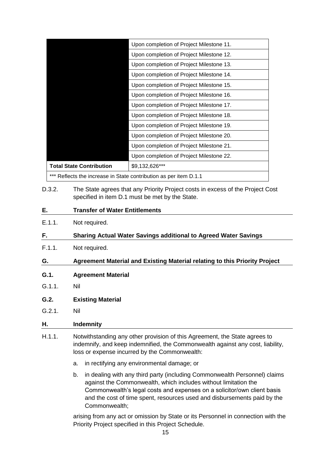|                                                                   | Upon completion of Project Milestone 11. |  |
|-------------------------------------------------------------------|------------------------------------------|--|
|                                                                   | Upon completion of Project Milestone 12. |  |
|                                                                   | Upon completion of Project Milestone 13. |  |
|                                                                   | Upon completion of Project Milestone 14. |  |
|                                                                   | Upon completion of Project Milestone 15. |  |
|                                                                   | Upon completion of Project Milestone 16. |  |
|                                                                   | Upon completion of Project Milestone 17. |  |
|                                                                   | Upon completion of Project Milestone 18. |  |
|                                                                   | Upon completion of Project Milestone 19. |  |
|                                                                   | Upon completion of Project Milestone 20. |  |
|                                                                   | Upon completion of Project Milestone 21. |  |
|                                                                   | Upon completion of Project Milestone 22. |  |
| <b>Total State Contribution</b>                                   | \$9,132,626***                           |  |
| *** Reflects the increase in State contribution as per item D.1.1 |                                          |  |

D.3.2. The State agrees that any Priority Project costs in excess of the Project Cost specified in item D.1 must be met by the State.

#### **E. Transfer of Water Entitlements**

- E.1.1. Not required.
- **F. Sharing Actual Water Savings additional to Agreed Water Savings**
- F.1.1. Not required.

#### **G. Agreement Material and Existing Material relating to this Priority Project**

- **G.1. Agreement Material**
- G.1.1. Nil
- **G.2. Existing Material**
- G.2.1. Nil

#### **H. Indemnity**

- H.1.1. Notwithstanding any other provision of this Agreement, the State agrees to indemnify, and keep indemnified, the Commonwealth against any cost, liability, loss or expense incurred by the Commonwealth:
	- a. in rectifying any environmental damage; or
	- b. in dealing with any third party (including Commonwealth Personnel) claims against the Commonwealth, which includes without limitation the Commonwealth's legal costs and expenses on a solicitor/own client basis and the cost of time spent, resources used and disbursements paid by the Commonwealth;

arising from any act or omission by State or its Personnel in connection with the Priority Project specified in this Project Schedule.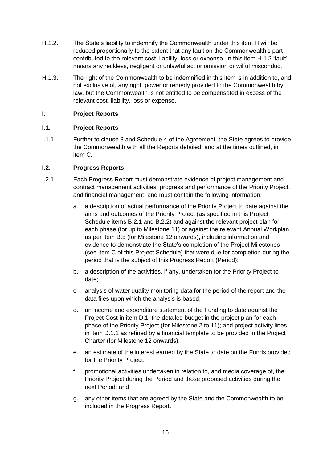- H.1.2. The State's liability to indemnify the Commonwealth under this item H will be reduced proportionally to the extent that any fault on the Commonwealth's part contributed to the relevant cost, liability, loss or expense. In this item H.1.2 'fault' means any reckless, negligent or unlawful act or omission or wilful misconduct.
- H.1.3. The right of the Commonwealth to be indemnified in this item is in addition to, and not exclusive of, any right, power or remedy provided to the Commonwealth by law, but the Commonwealth is not entitled to be compensated in excess of the relevant cost, liability, loss or expense.

#### **I. Project Reports**

#### **I.1. Project Reports**

I.1.1. Further to clause 8 and Schedule 4 of the Agreement, the State agrees to provide the Commonwealth with all the Reports detailed, and at the times outlined, in item C.

#### **I.2. Progress Reports**

- I.2.1. Each Progress Report must demonstrate evidence of project management and contract management activities, progress and performance of the Priority Project, and financial management, and must contain the following information:
	- a. a description of actual performance of the Priority Project to date against the aims and outcomes of the Priority Project (as specified in this Project Schedule items B.2.1 and B.2.2) and against the relevant project plan for each phase (for up to Milestone 11) or against the relevant Annual Workplan as per item B.5 (for Milestone 12 onwards), including information and evidence to demonstrate the State's completion of the Project Milestones (see item C of this Project Schedule) that were due for completion during the period that is the subject of this Progress Report (Period);
	- b. a description of the activities, if any, undertaken for the Priority Project to date;
	- c. analysis of water quality monitoring data for the period of the report and the data files upon which the analysis is based;
	- d. an income and expenditure statement of the Funding to date against the Project Cost in item D.1, the detailed budget in the project plan for each phase of the Priority Project (for Milestone 2 to 11); and project activity lines in item D.1.1 as refined by a financial template to be provided in the Project Charter (for Milestone 12 onwards);
	- e. an estimate of the interest earned by the State to date on the Funds provided for the Priority Project;
	- f. promotional activities undertaken in relation to, and media coverage of, the Priority Project during the Period and those proposed activities during the next Period; and
	- g. any other items that are agreed by the State and the Commonwealth to be included in the Progress Report.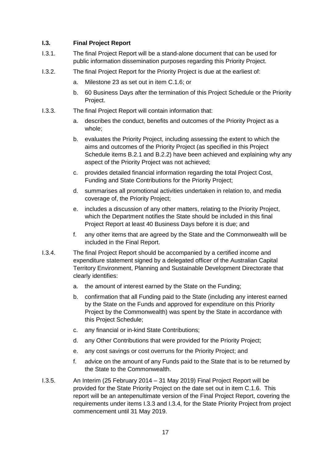#### **I.3. Final Project Report**

- I.3.1. The final Project Report will be a stand-alone document that can be used for public information dissemination purposes regarding this Priority Project.
- I.3.2. The final Project Report for the Priority Project is due at the earliest of:
	- a. Milestone 23 as set out in item C.1.6; or
	- b. 60 Business Days after the termination of this Project Schedule or the Priority Project.
- I.3.3. The final Project Report will contain information that:
	- a. describes the conduct, benefits and outcomes of the Priority Project as a whole;
	- b. evaluates the Priority Project, including assessing the extent to which the aims and outcomes of the Priority Project (as specified in this Project Schedule items B.2.1 and B.2.2) have been achieved and explaining why any aspect of the Priority Project was not achieved;
	- c. provides detailed financial information regarding the total Project Cost, Funding and State Contributions for the Priority Project;
	- d. summarises all promotional activities undertaken in relation to, and media coverage of, the Priority Project;
	- e. includes a discussion of any other matters, relating to the Priority Project, which the Department notifies the State should be included in this final Project Report at least 40 Business Days before it is due; and
	- f. any other items that are agreed by the State and the Commonwealth will be included in the Final Report.
- I.3.4. The final Project Report should be accompanied by a certified income and expenditure statement signed by a delegated officer of the Australian Capital Territory Environment, Planning and Sustainable Development Directorate that clearly identifies:
	- a. the amount of interest earned by the State on the Funding;
	- b. confirmation that all Funding paid to the State (including any interest earned by the State on the Funds and approved for expenditure on this Priority Project by the Commonwealth) was spent by the State in accordance with this Project Schedule;
	- c. any financial or in-kind State Contributions;
	- d. any Other Contributions that were provided for the Priority Project;
	- e. any cost savings or cost overruns for the Priority Project; and
	- f. advice on the amount of any Funds paid to the State that is to be returned by the State to the Commonwealth.
- I.3.5. An Interim (25 February 2014 31 May 2019) Final Project Report will be provided for the State Priority Project on the date set out in item C.1.6. This report will be an antepenultimate version of the Final Project Report, covering the requirements under items I.3.3 and I.3.4, for the State Priority Project from project commencement until 31 May 2019.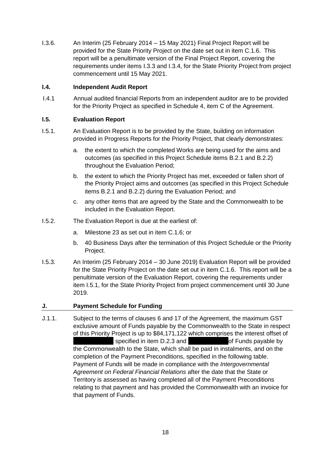I.3.6. An Interim (25 February 2014 – 15 May 2021) Final Project Report will be provided for the State Priority Project on the date set out in item C.1.6. This report will be a penultimate version of the Final Project Report, covering the requirements under items I.3.3 and I.3.4, for the State Priority Project from project commencement until 15 May 2021.

#### **I.4. Independent Audit Report**

I.4.1 Annual audited financial Reports from an independent auditor are to be provided for the Priority Project as specified in Schedule 4, item C of the Agreement.

#### **I.5. Evaluation Report**

- I.5.1. An Evaluation Report is to be provided by the State, building on information provided in Progress Reports for the Priority Project, that clearly demonstrates:
	- a. the extent to which the completed Works are being used for the aims and outcomes (as specified in this Project Schedule items B.2.1 and B.2.2) throughout the Evaluation Period;
	- b. the extent to which the Priority Project has met, exceeded or fallen short of the Priority Project aims and outcomes (as specified in this Project Schedule items B.2.1 and B.2.2) during the Evaluation Period; and
	- c. any other items that are agreed by the State and the Commonwealth to be included in the Evaluation Report.
- I.5.2. The Evaluation Report is due at the earliest of:
	- a. Milestone 23 as set out in item C.1.6; or
	- b. 40 Business Days after the termination of this Project Schedule or the Priority Project.
- I.5.3. An Interim (25 February 2014 30 June 2019) Evaluation Report will be provided for the State Priority Project on the date set out in item C.1.6. This report will be a penultimate version of the Evaluation Report, covering the requirements under item I.5.1, for the State Priority Project from project commencement until 30 June 2019.

#### **J. Payment Schedule for Funding**

J.1.1. Subject to the terms of clauses 6 and 17 of the Agreement, the maximum GST exclusive amount of Funds payable by the Commonwealth to the State in respect of this Priority Project is up to \$84,171,122 which comprises the interest offset of specified in item D.2.3 and \$ \$ \$ of Funds payable by the Commonwealth to the State, which shall be paid in instalments, and on the completion of the Payment Preconditions, specified in the following table. Payment of Funds will be made in compliance with the *Intergovernmental Agreement on Federal Financial Relations* after the date that the State or Territory is assessed as having completed all of the Payment Preconditions relating to that payment and has provided the Commonwealth with an invoice for that payment of Funds.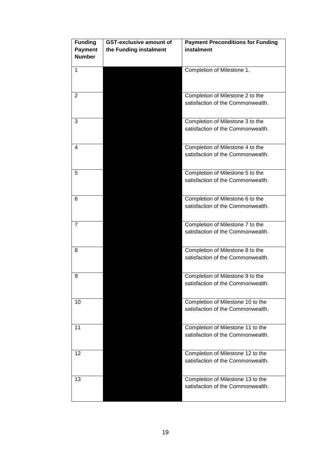| <b>Funding</b> | <b>GST-exclusive amount of</b> | <b>Payment Preconditions for Funding</b> |
|----------------|--------------------------------|------------------------------------------|
| <b>Payment</b> | the Funding instalment         | instalment                               |
| <b>Number</b>  |                                |                                          |
| 1              |                                | Completion of Milestone 1.               |
|                |                                |                                          |
|                |                                |                                          |
|                |                                |                                          |
| $\overline{2}$ |                                | Completion of Milestone 2 to the         |
|                |                                | satisfaction of the Commonwealth.        |
|                |                                |                                          |
| 3              |                                | Completion of Milestone 3 to the         |
|                |                                | satisfaction of the Commonwealth.        |
|                |                                |                                          |
| 4              |                                | Completion of Milestone 4 to the         |
|                |                                | satisfaction of the Commonwealth.        |
|                |                                |                                          |
|                |                                |                                          |
| 5              |                                | Completion of Milestone 5 to the         |
|                |                                | satisfaction of the Commonwealth.        |
|                |                                |                                          |
| 6              |                                | Completion of Milestone 6 to the         |
|                |                                | satisfaction of the Commonwealth.        |
|                |                                |                                          |
| $\overline{7}$ |                                | Completion of Milestone 7 to the         |
|                |                                | satisfaction of the Commonwealth.        |
|                |                                |                                          |
| 8              |                                | Completion of Milestone 8 to the         |
|                |                                | satisfaction of the Commonwealth.        |
|                |                                |                                          |
|                |                                |                                          |
| 9              |                                | Completion of Milestone 9 to the         |
|                |                                | satisfaction of the Commonwealth.        |
|                |                                |                                          |
| 10             |                                | Completion of Milestone 10 to the        |
|                |                                | satisfaction of the Commonwealth.        |
|                |                                |                                          |
| 11             |                                | Completion of Milestone 11 to the        |
|                |                                | satisfaction of the Commonwealth.        |
|                |                                |                                          |
| 12             |                                | Completion of Milestone 12 to the        |
|                |                                | satisfaction of the Commonwealth.        |
|                |                                |                                          |
|                |                                |                                          |
| 13             |                                | Completion of Milestone 13 to the        |
|                |                                | satisfaction of the Commonwealth.        |
|                |                                |                                          |